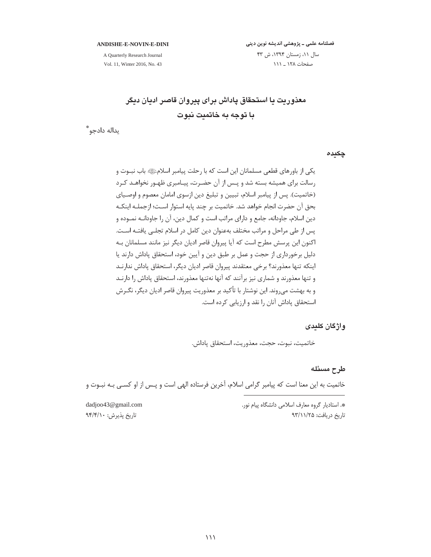#### ANDISHE-E-NOVIN-E-DINI

A Quarterly Research Journal Vol. 11, Winter 2016, No. 43

# فصلنامه علمی ـ پژوهشی اندیشه نوین دینی سال ١١، زمستان ١٣٩٤، ش ۴٣ صفحات ۱۲۸ \_ ۱۱۱

معذوريت يا استحقاق پاداش برای پيروان قاصر اديان ديگر با توجه به خاتميت نبوت

يداله دادجو \*

چکیدہ

واژگان کلیدی

خاتميت، نبوت، حجت، معذوريت، استحقاق پاداش.

# طرح مسئله

خاتمیت به این معنا است که پیامبر گرامی اسلام، آخرین فرستاده الهی است و پـس از او کسـی بـه نبـوت و

\*. استادیار گروه معارف اسلامی دانشگاه پیام نور. تاریخ دریافت: ۹۳/۱۱/۲۵

dadjoo43@gmail.com تاريخ پذيرش: ٩۴/۴/١٠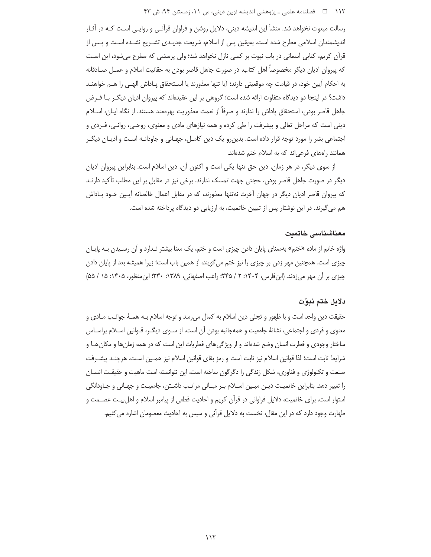رسالت مبعوث نخواهد شد. منشأ این اندیشه دینی، دلایل روشن و فراوان قرآنـی و روایـی اسـت کـه در آثـار اندیشمندان اسلامی مطرح شده است. بهیقین پس از اسلام، شریعت جدیـدی تشـریع نشـده اسـت و پـس از قرآن کریم، کتابی آسمانی در باب نبوت بر کسی نازل نخواهد شد؛ ولی پرسشی که مطرح می شود، این است كه يبروان اديان ديگر مخصوصاً اهل كتاب، در صورت جاهل قاصر بودن به حقانيت اسلام و عمـل صـادقانه به احكام أيين خود، در قيامت چه موقعيتي دارند؛ أيا تنها معذورند يا اسـتحقاق پـاداش الهـي را هــم خواهنــد داشت؟ در اینجا دو دیدگاه متفاوت ارائه شده است؛ گروهی بر این عقیدهاند که پیروان ادیان دیگـر بـا فـرض جاهل قاصر بودن، استحقاق پاداش را ندارند و صرفاً از نعمت معذوريت بهرهمند هستند. از نگاه اينان، اسـلام دینی است که مراحل تعالی و پیشرفت را طی کرده و همه نیازهای مادی و معنوی، روحـی، روانـی، فـردی و اجتماعی بشر را مورد توجه قرار داده است. بدین٫رو یک دین کامـل٬ جهـانی و جاودانـه اسـت و ادیـان دیگـر همانند راههای فرعیاند که به اسلام ختم شدهاند.

از سوی دیگر، در هر زمان، دین حق تنها یکی است و اکنون آن، دین اسلام است. بنابراین پیروان ادیان دیگر در صورت جاهل قاصر بودن، حجتی جهت تمسک ندارند. برخی نیز در مقابل بر این مطلب تأکید دارنــد که پیروان قاصر ادیان دیگر در جهان آخرت نهتنها معذورند، که در مقابل اعمال خالصانه آپـین خـود پـاداش هم میگیرند. در این نوشتار پس از تبیین خاتمیت، به ارزیابی دو دیدگاه پرداخته شده است.

## معناشناسی خاتمت

واژه خاتم از ماده «ختم» بهمعنای پایان دادن چیزی است و ختم، یک معنا بیشتر نـدارد و آن رسـیدن بـه پایـان چیزی است. همچنین مهر زدن بر چیزی را نیز ختم میگویند، از همین باب است؛ زیرا همیشه بعد از پایان دادن چیزی بر آن مهر میزدند. (ابنفارس، ۱۴۰۴: ۲ / ۲۴۵؛ راغب اصفهانی، ۱۳۸۹: ۲۳۰؛ ابن منظور، ۱۴۰۵: ۱۵ / ۵۵)

## دلايل ختم نبوّت

حقيقت دين واحد است و با ظهور و تجلي دين اسلام به كمال مي رسد و توجه اسلام بـه همـهٔ جوانـب مـادي و معنوی و فردی و اجتماعی، نشانهٔ جامعیت و همهجانبه بودن آن است. از سـوی دیگـر، قـوانین اسـلام براسـاس ساختار وجودی و فطرت انسان وضع شدهاند و از ویژگیهای فطریات این است که در همه زمانها و مکان هـا و شرايط ثابت است؛ لذا قوانين اسلام نيز ثابت است و رمز بقاي قوانين اسلام نيز همـين اسـت. هرچنـد پيشــرفت صنعت و تکنولوژی و فناوری، شکل زندگی را دگرگون ساخته است، این نتوانسته است ماهیت و حقیقـت انسـان را تغییر دهد. بنابراین خاتمیـت دیـن مبـین اسـلام بـر مبـانی مراتـب داشـتن، جامعیـت و جهـانی و جـاودانگی استوار است. برای خاتمیت، دلایل فراوانی در قرآن کریم و احادیث قطعی از پیامبر اسلام و اهلبیت عصــمت و طهارت وجود دارد که در این مقال، نخست به دلایل قرآنی و سپس به احادیث معصومان اشاره می کنیم.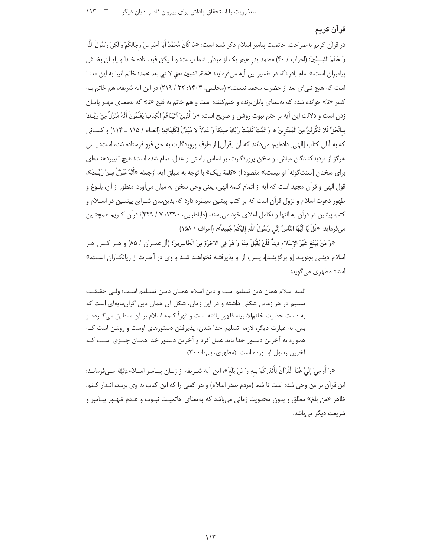# قرآن كريم

در قرآن كريم بهصراحت، خاتميت پيامبر اسلام ذكر شده است: «مَا كَانَ مُحَمَّدٌ أَبَا أَحَدٍ مِنْ رِجَالِكُمْ وَلَكِنْ رَسُولَ اللَّهِ وَ خَاتَمَ النَّبِــيِّينَ؛ (احزاب / ۴۰) محمد يدر هيچ يک از مردان شما نيست؛ و لـيکن فرسـتاده خـدا و پايـان بخـش ييامبران است.» امام باقر<sup>يائيو</sup> در تفسير اين آيه مي فرمايد: «خاتم النبيين يعني لا نبي بعد محمد؛ خاتم انبيا به اين معنــا است که هیچ نبی|ی بعد از حضرت محمد نیست.» (مجلسی، ۱۴۰۳: ۲۲ / ۲۱۹) در این آیه شریفه، هم خاتم بـه کسر «تا» خوانده شده که بهمعنای پایان برنده و ختم کننده است و هم خاتم به فتح «تا» که بهمعنای مهـر پایـان زدن است و دلالت اين آيه بر ختم نبوت روشن و صريح است: «وَ الَّذِينَ آتَيْنَاهُمُ الْكِتَابَ يَعْلَمُونَ أَنَّهُ مُنَزَّلٌ مِنْ رَبِّـكَ بِالْحَقِّ فَلا تَكُونَنَّ مِنَ الْمُمْتَرِينَ ۞ وَ تَمَّتْ كَلِمَتُ رَبِّكَ صِدْقاً وَ عَدْلاً لا مُبَدّلَ لِكَلِمَاتِهِ؛ (انعـام / ١١۵ \_ ١١۴) و كسـاني كه به آنان كتاب [الهي] دادهايم، ميدانند كه آن [قرآن] از طرف پروردگارت به حق فرو فرستاده شده است؛ پـس هرگز از تردیدکنندگان مباش. و سخن پروردگارت، بر اساس راستی و عدل، تمام شده است؛ هیچ تغییردهنـدهای براي سخنان [سنت\$ونه] او نيست.» مقصود از «كلمة ربک» با توجه به سياق آيه، ازجمله «أَنَّهُ مُنَزِّلٌ مِـنْ ربِّـك»، قول الهي و قرآن مجيد است كه آيه از اتمام كلمه الهي، يعني وحي سخن به ميان مي آورد. منظور از آن، بلــوغ و ظهور دعوت اسلام و نزول قرآن است که بر کتب پیشین سیطره دارد که بدین سان شـرایع پیشـین در اسـلام و کتب پیشین در قرآن به انتها و تکامل اعلای خود می رسند. (طباطبایی، ۱۳۹۰: ۷ / ۳۲۹)؛ قرآن کـریم همچنـین مِ فرمايد: «قُلْ يَا أَيُّهَا النَّاسُ إِنِّي رَسُولُ اللَّهِ إِلَيْكُمْ جَمِيعاً». (اعراف / ١۵٨)

«وَ مَنْ يَبْتَغ غَيْرَ الإسْلام دِيناً فَلَنْ يُقْبَلَ مِنْهُ وَ هُوَ فِي الآخِرَةِ مِنَ الْخَاسِرِينَ؛ (ألءمـران / ٨۵) و هــر كــس جـز اسلام دینـی بجویـد [و برگزینـد]، پـس، از او پذیرفتـه نخواهـد شـد و وی در آخـرت از زیانکـاران اسـت.» استاد مطهری می *گ*وید:

البته اسلام همان دین تسلیم است و دین اسلام همـان دیـن تسـلیم اسـت؛ ولـی حقیقـت تسلیم در هر زمانی شکلی داشته و در این زمان، شکل آن همان دین گران،ایهای است که به دست حضرت خاتم|لانبياء ظهور يافته است و قهراً كلمه اسلام بر آن منطبق مي *گـ*ردد و بس. به عبارت دیگر، لازمه تسلیم خدا شدن، پذیرفتن دستورهای اوست و روشن است کـه همواره به آخرین دستور خدا باید عمل کرد و آخرین دستور خدا همـان چیـزی اسـت کـه آخرین رسول او آورده است. (مطهری، بی تا: ۳۰۰)

«وَ أُوحِيَ إِلَيَّ هَٰذَا الْقُرْآنُ لِأُنْذِرِكُمْ بِـهِ وَ مَنْ بَلَغَ». اين أيه شـريفه از زبـان پيـامبر اسـلامﷺ مـيفرمايـد: این قرآن بر من وحی شده است تا شما (مردم صدر اسلام) و هر کسی را که این کتاب به وی برسد، انـذار کـنم. ظاهر «من بلغ» مطلق و بدون محدويت زماني مي باشد كه بهمعناي خاتميت نبـوت و عـدم ظهـور پيـامبر و شريعت ديگر مي باشد.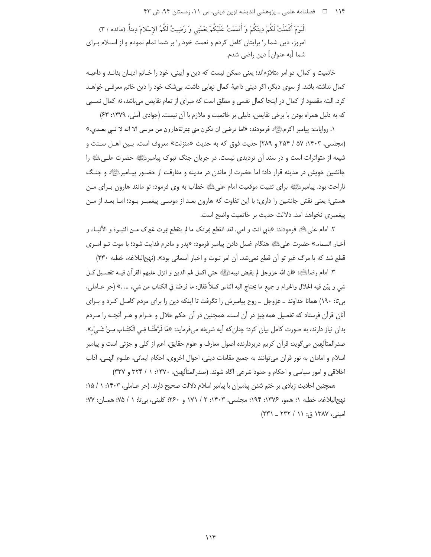۱۱۴ فصلنامه علمی ـ یژوهشی اندیشه نوین دینی، س ۱۱، زمستان ۹۴، ش ۴۳

الْيَوْمَ أَكْمَلْتُ لَكُمْ دِينَكُمْ وَ أَتْمَمْتُ عَلَيْكُمْ نِعْمَتِي وَ رَضِيتُ لَكُمُ الإِسْلامَ دِيناً. (مائده / ٣) امروز، دین شما را برایتان کامل کردم و نعمت خود را بر شما تمام نمودم و از اسـلام بـرای شما [به عنوان] دين راضي شدم.

خاتمیت و کمال، دو امر متلازماند؛ یعنی ممکن نیست که دین و آیینی، خود را خـاتم ادیـان بدانـد و داعیـه كمال نداشته باشد. از سوى ديگر، اگر ديني داعيهٔ كمال نهايي داشت، بي شک خود را دين خاتم معرفـي خواهـد کرد. البته مقصود از کمال در اینجا کمال نفسی و مطلق است که مبرای از تمام نقایص می باشد، نه کمال نسـبی که به دلیل همراه بودن با برخی نقایص، دلیلی بر خاتمیت و ملازم با آن نیست. (جوادی آملی، ۱۳۷۹: ۶۳)

١. روايات: پيامبر اكرمﷺ فرمودند: «اما ترضي ان تكون مني بمترلةهارون من موسى الا انه لا نــي بعــدي.» (مجلسی، ۱۴۰۳: ۵۷ / ۲۵۴ و ۲۸۹) حدیث فوق که به حدیث «منزلت» معروف است، بین اهـل سـنت و شیعه از متواترات است و در سند آن تردیدی نیست. در جریان جنگ تبوک پیامبرﷺ حضرت علـیﷺ را جانشین خویش در مدینه قرار داد؛ اما حضرت از ماندن در مدینه و مفارقت از حضـور پیـامبرﷺ و جنـگ ناراحت بود. پیامبرﷺ برای تثبیت موقعیت امام علیﷺ خطاب به وی فرمود: تو مانند هارون بـرای مـن هستی؛ یعنی نقش جانشین را داری؛ با این تفاوت که هارون بعـد از موسـی پیغمبـر بـود؛ امـا بعـد از مـن پیغمبری نخواهد آمد. دلالت حدیث بر خاتمیت واضح است.

٢. امام علىﷺ فرمودند: «بابي انت و امي، لقد انقطع بموتک ما لم ينقطع بموت غيرک مــن النبــوة و الأنبــاء و أخبار السماء.» حضرت علىﷺ هنگام غسل دادن پيامبر فرمود: «پدر و مادرم فدايت شود؛ با موت تــو امــرى قطع شد که با مرگ غیر تو آن قطع نمی شد. آن امر نبوت و اخبار آسمانی بود». (نهجالبلاغه، خطبه ۲۳۰)

٣. امام رضاءللهِ: «ان الله عزوجل لم يقبض نبيهﷺ حتى اكمل لهم الدين و انزل عليهم القرآن فيــه تفصــيل كــل شي و بيّن فيه الحلال والحرام و جميع ما يحتاج اليه الناس كملاً فقال: ما فرطنا في الكتاب من شيء … .» (حر عــاملي، بیتا: ١٩٠) همانا خداوند ـ عزوجل ـ روح پیامبرش را تگرفت تا اینکه دین را برای مردم کامـل کـرد و بـرای آنان قرآن فرستاد که تفصیل همهچیز در آن است. همچنین در آن حکم حلال و حـرام و هـر آنچـه را مـردم بدان نیاز دارند، به صورت کامل بیان کرد؛ چنان که آیه شریفه میفرماید: «مَا فَرَّطْنَـا فِـی الْکِتَـابِ مِـنْ شَـیْء». صدرالمتألهین می6وید: قرأن کریم دربردارنده اصول معارف و علوم حقایق، اعم از کلی و جزئی است و پیامبر اسلام و امامان به نور قرآن می توانند به جمیع مقامات دینی، احوال اخروی، احکام ایمانی، علـوم الهـی، آداب اخلاقی و امور سیاسی و احکام و حدود شرعی آگاه شوند. (صدرالمتألهین، ۱۳۷۰: ۱ / ۳۲۴ و ۳۳۷)

همچنین احادیث زیادی بر ختم شدن پیامبران با پیامبر اسلام دلالت صحیح دارند. (حر عـاملی، ۱۴۰۳: ۱ / ۱۵؛ نهج|لبلاغه، خطبه ١؛ همو، ١٣٧۶: ١٩٩٤؛ مجلسي، ١٤٠٣: ٢ / ١٧١ و ٢۶٠؛ كليني، بي تا: ١ / ٧٥؛ همـان: ٧٧؛ امینی، ۱۳۸۷ ق: ۱۱ / ۲۳۲ \_ ۲۳۱)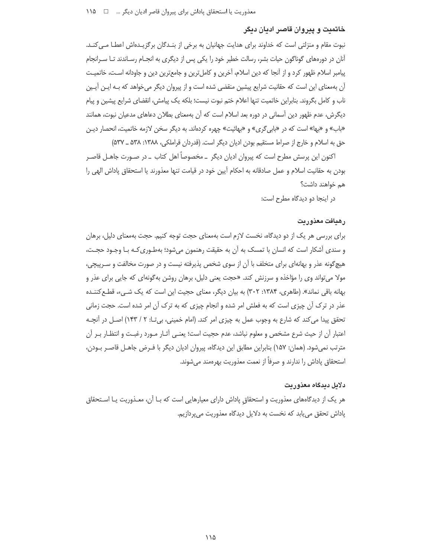## خاتمیت و پیروان قاصر ادیان دیگر

نبوت مقام و منزلتی است که خداوند برای هدایت جهانیان به برخی از بنـدگان برگزیـدهاش اعطـا مـیکنـد. آنان در دورههای گوناگون حیات بشر، رسالت خطیر خود را یکی پس از دیگری به انجـام رسـاندند تـا سـرانجام پیامبر اسلام ظهور کرد و از آنجا که دین اسلام، آخرین و کاملترین و جامعترین دین و جاودانه است، خاتمیت آن بهمعنای این است که حقانیت شرایع پیشین منقضی شده است و از پیروان دیگر می خواهد که بـه ایـن آیـین ناب و كامل بگروند. بنابراين خاتميت تنها اعلام ختم نبوت نيست؛ بلكه يک پيامش، انقضاى شرايع پيشين و پيام دیگرش، عدم ظهور دین آسمانی در دوره بعد اسلام است که آن بهمعنای بطلان دعاهای مدعیان نبوت، همانند «باب» و «بها» است که در «بابی گری» و «بهائیت» چهره کردهاند. به دیگر سخن لازمه خاتمیت، انحصار دیـن حق به اسلام و خارج از صراط مستقیم بودن ادیان دیگر است. (قدردان قراملکی، ۱۳۸۸: ۵۳۸ ـ ۵۳۷)

اکنون این پرسش مطرح است که پیروان ادیان دیگر \_مخصوصاً اهل کتاب \_ در صـورت جاهـل قاصـر بودن به حقانیت اسلام و عمل صادقانه به احکام آیین خود در قیامت تنها معذورند یا استحقاق پاداش الهی را هم خواهند داشت؟

در اینجا دو دیدگاه مطرح است:

### رهبافت معذوريت

برای بررسی هر یک از دو دیدگاه، نخست لازم است بهمعنای حجت توجه کنیم. حجت بهمعنای دلیل، برهان و سندی آشکار است که انسان با تمسک به اًن به حقیقت رهنمون میشود؛ بهطـوری کـه بـا وجـود حجـت، هیچگونه عذر و بهانهای برای متخلف با آن از سوی شخص پذیرفته نیست و در صورت مخالفت و سـرپیچی، مولا میتواند وی را مؤاخذه و سرزنش کند. «حجت یعنی دلیل، برهان روشن به گونهای که جایی برای عذر و بهانه باقی نماند». (طاهری، ۱۳۸۴: ۳۰۲) به بیان دیگر، معنای حجیت این است که یک شبیء، قطع کننـده عذر در ترک آن چیزی است که به فعلش امر شده و انجام چیزی که به ترک آن امر شده است. حجت زمانی تحقق پیدا می کند که شارع به وجوب عمل به چیزی امر کند. (امام خمینی، بیتا: ۲ / ۱۴۳) اصـل در آنچـه اعتبار أن از حيث شرع مشخص و معلوم نباشد، عدم حجيت است؛ يعنـي أثـار مـورد رغبـت و انتظـار بـر أن مترتب نمیشود. (همان: ۱۵۷) بنابراین مطابق این دیدگاه، پیروان ادیان دیگر با فـرض جاهـل قاصـر بـودن، استحقاق یاداش را ندارند و صرفاً از نعمت معذوریت بهرهمند مے شوند.

#### دلايل ديدگاه معذوريت

هر یک از دیدگاههای معذوریت و استحقاق پاداش دارای معیارهایی است که بـا آن، معـذوریت یـا اسـتحقاق پاداش تحقق می یابد که نخست به دلایل دیدگاه معذوریت می پردازیم.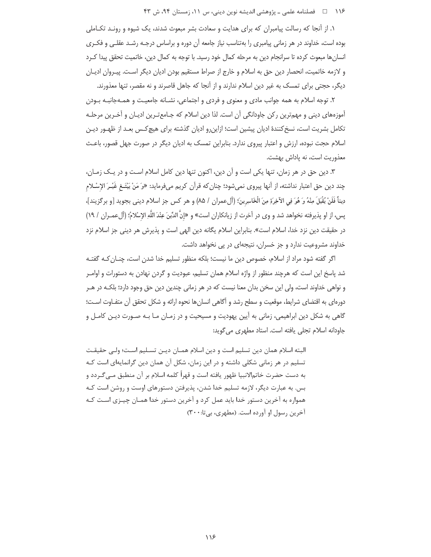#### ۱۱۶ فصلنامه علمی ـ یژوهشی اندیشه نوین دینی، س ۱۱، زمستان ۹۴، ش ۴۳

۱. از آنجا که رسالت پیامبران که برای هدایت و سعادت بشر مبعوث شدند، یک شیوه و رونـد تکـاملی بوده است، خداوند در هر زمانی پیامبری را بهتناسب نیاز جامعه آن دوره و براساس درجـه رشـد عقلـی و فکـری انسانها مبعوث کرده تا سرانجام دین به مرحله کمال خود رسید. با توجه به کمال دین، خاتمیت تحقق پیدا کـرد و لازمه خاتمیت، انحصار دین حق به اسلام و خارج از صراط مستقیم بودن ادیان دیگر اسـت. پیـروان ادیـان دیگر، حجتی برای تمسک به غیر دین اسلام ندارند و از آنجا که جاهل قاصرند و نه مقصر، تنها معذورند.

۲. توجه اسلام به همه جوانب مادی و معنوی و فردی و اجتماعی، نشـانه جامعیـت و همـهجانبـه بـودن آموزههای دینی و مهمترین رکن جاودانگی آن است. لذا دین اسلام که جـامعتـرین ادیـان و آخـرین مرحلـه تکامل بشریت است، نسخ کنندهٔ ادیان پیشین است؛ ازاین٫رو ادیان گذشته برای هیچ کـس بعـد از ظهـور دیـن اسلام حجت نبوده، ارزش و اعتبار پیروی ندارد. بنابراین تمسک به ادیان دیگر در صورت جهل قصور، باعث معذوریت است، نه یاداش بهشت.

۳. دین حق در هر زمان، تنها یکی است و آن دین، اکنون تنها دین کامل اسلام است و در یک زمـان، چند دین حق اعتبار نداشته، از آنها پیروی نمیشود؛ چنان که قرآن کریم میفرماید: «وَ مَنْ يَبْتَـغ غَيْـرَ الإِسْـلام دِيناً فَلَنْ يُقْبَلَ مِنْهُ وَ هُوَ فِي الآخِرَةِ مِنَ الْخَاسِرِينَ؛ (ألءمران / ٨۵) و هر كس جز اسلام ديني بجويد [و برگزيند]، پس، از او پذيرفته نخواهد شد و وي در آخرت از زيانكاران است» و «إنَّ الدِّينَ عِنْدَ اللَّهِ الإِسْلامُ؛ (آلءمران / ١٩) در حقيقت دين نزد خدا، اسلام است». بنابراين اسلام يگانه دين الهي است و پذيرش هر ديني جز اسلام نزد خداوند مشروعیت ندارد و جز خسران، نتیجهای در پی نخواهد داشت.

اگر گفته شود مراد از اسلام، خصوص دین ما نیست؛ بلکه منظور تسلیم خدا شدن است، چنـان کـه گفتـه شد پاسخ این است که هرچند منظور از واژه اسلام همان تسلیم، عبودیت و گردن نهادن به دستورات و اوامـر و نواهی خداوند است، ولی این سخن بدان معنا نیست که در هر زمانی چندین دین حق وجود دارد؛ بلکـه در هـر دورهای به اقتضای شرایط، موقعیت و سطح رشد و آگاهی انسانها نحوه ارائه و شکل تحقق آن متفـاوت اسـت؛ گاهی به شکل دین ابراهیمی، زمانی به آیین یهودیت و مسیحیت و در زمـان مـا بـه صـورت دیـن کامـل و جاودانه اسلام تجلي يافته است. استاد مطهري مي گويد:

البته اسلام همان دين تسليم است و دين اسلام همـان ديـن تسـليم اسـت؛ ولـى حقيقـت تسلیم در هر زمانی شکلی داشته و در این زمان، شکل آن همان دین گرانمایهای است کـه به دست حضرت خاتم|لانبیا ظهور یافته است و قهراً کلمه اسلام بر آن منطبق مـی *گـ*ردد و بس. به عبارت دیگر، لازمه تسلیم خدا شدن، پذیرفتن دستورهای اوست و روشن است کـه همواره به آخرین دستور خدا باید عمل کرد و آخرین دستور خدا همـان چیـزی اسـت کـه آخرین رسول او آورده است. (مطهری، بی تا: ۳۰۰)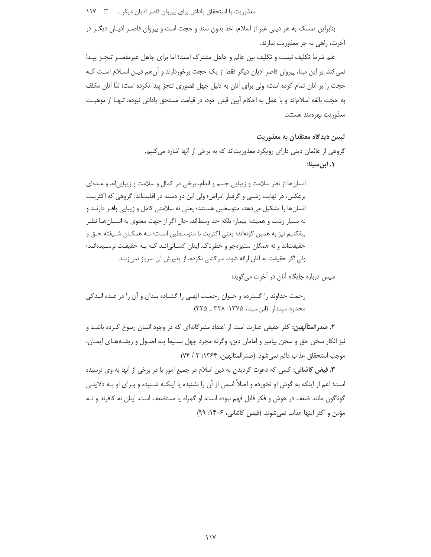بنابراین تمسک به هر دینی غیر از اسلام، اخذ بدون سند و حجت است و پیروان قاصـر ادیـان دیگـر در آخرت، راهی به جز معذوریت ندارند.

علم شرط تكليف نيست و تكليف بين عالم و جاهل مشترك است؛ اما براي جاهل غيرمقصـر تنجـز پيـدا نمی کند. بر این مبنا، پیروان قاصر ادیان دیگر فقط از یک حجت برخوردارند و آنهم دیـن اسـلام اسـت کـه حجت را بر آنان تمام کرده است؛ ولی برای آنان به دلیل جهل قصوری تنجز پیدا نکرده است؛ لذا آنان مکلف به حجت بالغه اسلاماند و با عمل به احكام آيين قبلي خود، در قيامت مستحق پاداش نبوده، تنهـا از موهبـت معذوريت بهرهمند هستند.

#### تبيين ديدگاه معتقدان به معذوريت

گروهی از عالمان دینی دارای رویکرد معذوریتاند که به برخی از آنها اشاره می کنیم. ۱. ابن سینا:

انسانها از نظر سلامت و زیبایی جسم و اندام، برخی در کمال و سلامت و زیبایی اند و عــدهای برعکس، در نهایت زشتی و گرفتار امراض؛ ولی این دو دسته در اقلیتاند. گروهی که اکثریت انسانها را تشکیل میدهد، متوسطین هستند؛ یعنی نه سلامتی کامل و زیبایی وافـر دارنـد و نه بسيار زشت و هميشه بيمار؛ بلكه حد وسطاند. حال اگر از جهت معنوي به انســانهــا نظــر بيفكنيم نيز به همين گونهاند؛ يعني اكثريت با متوسـطين اسـت؛ نـه همگـان شـيفته حـق و حقیقتاند و نه همگان ستیزهجو و خطرناک. اینان کسـانی|نـد کـه بـه حقیقـت نرسـیدهانـد؛ ولی اگر حقیقت به آنان ارائه شود، سرکشی نکرده، از پذیرش آن سرباز نمیزنند.

سیس درباره جایگاه آنان در آخرت می گوید:

رحمت خداوند را گسترده و خـوان رحمـت الهـی را گشـاده بـدان و آن را در عـده انـدکی محدود میندار. (ابنسینا، ۱۳۷۵: ۳۲۸ ـ ۳۲۵)

**۲. صدرالمتألهین:** کفر حقیقی عبارت است از اعتقاد مشرکانهای که در وجود انسان رسوخ کـرده باشـد و نیز انکار سخن حق و سخن پیامبر و امامان دین، وگرنه مجرد جهل بسـیط بـه اصـول و ریشـههـای ایمـان، موجب استحقاق عذاب دائم نمي شود. (صدرالمتالهين، ١٣۶۴: ٣ / ٧۴)

**۳. فیض کاشانی:** کسی که دعوت گردیدن به دین اسلام در جمیع امور یا در برخی از آنها به وی نرسیده است؛ اعم از اینکه به گوش او نخورده و اصلاً اسمی از آن را نشنیده یا اینکـه شـنیده و بـرای او بـه دلایلـی گوناگون مانند ضعف در هوش و فکر قابل فهم نبوده است، او گمراه یا مستضعف است. اینان نه کافرند و نـه مؤمن و اکثر اینها عذاب نمی شوند. (فیض کاشانی، ۱۴۰۶: ۹۹)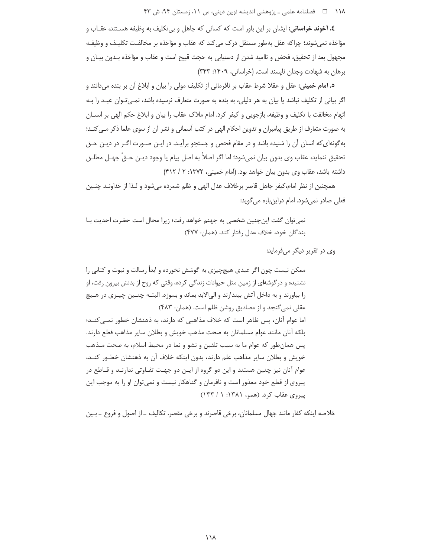۱۱۸ هـ فصلنامه علمی ـ یژوهشی اندیشه نوین دینی، س ۱۱، زمستان ۹۴، ش ۴۳

**٤. آخوند خراساني:** ايشان بر اين باور است كه كساني كه جاهل و بي تكليف به وظيفه هسـتند، عقـاب و مؤاخذه نمی شوند؛ چراکه عقل بهطور مستقل درک می کند که عقاب و مؤاخذه بر مخالفت تکلیـف و وظیفـه مجهول بعد از تحقیق، فحض و ناامید شدن از دستیابی به حجت قبیح است و عقاب و مؤاخذه بـدون بیـان و برهان به شهادت وجدان نایسند است. (خراسانی، ۱۴۰۹: ۳۴۳)

**٥. امام خمینی:** عقل و عقلا شرط عقاب بر نافرمانی از تکلیف مولی را بیان و ابلاغ آن بر بنده میدانند و اگر بیانی از تکلیف نباشد یا بیان به هر دلیلی، به بنده به صورت متعارف نرسیده باشد، نمـیتوان عبـد را بـه اتهام مخالفت با تكليف و وظيفه، بازجويي و كيفر كرد. امام ملاك عقاب را بيان و ابلاغ حكم الهي بر انســان به صورت متعارف از طریق پیامبران و تدوین احکام الهی در کتب آسمانی و نشر آن از سوی علما ذکر مـی کنـد؛ بهگونهای که انسان آن را شنیده باشد و در مقام فحص و جستجو برآیـد. در ایـن صـورت اگـر در دیـن حـق تحقيق ننمايد، عقاب وي بدون بيان نميشود؛ اما اگر اصلاً به اصل پيام يا وجود ديـن حـقْ جهـل مطلـق داشته باشد، عقاب وي بدون بيان خواهد بود. (امام خميني، ١٣٧٢: ٢ / ٣١٢)

همچنین از نظر امام،کیفر جاهل قاصر برخلاف عدل الهی و ظلم شمرده میشود و لـذا از خداونــد چنــین فعلی صادر نمی شود. امام دراینباره می گوید:

نمي توان گفت اين چنين شخصي به جهنم خواهد رفت؛ زيرا محال است حضرت احديت بـا بندگان خود، خلاف عدل رفتار کند. (همان: ۴۷۷)

وي در تقرير ديگر ميفرمايد:

ممکن نیست چون اگر عبدی هیچچیزی به گوشش نخورده و ابداً رسالت و نبوت و کتابی را نشنیده و در گوشهای از زمین مثل حیوانات زندگی کرده، وقتی که روح از بدنش بیرون رفت، او را بياورند و به داخل آتش بيندازند و الى الابد بماند و بسوزد. البتـه چنــين چيـزى در هـيچ عقلی نمی گنجد و از مصادیق روشن ظلم است. (همان: ۴۸۳) اما عوام آنان، پس ظاهر است که خلاف مذاهبی که دارند، به ذهنشان خطور نمبی کنــد؛ بلكه آنان مانند عوام مسلمانان به صحت مذهب خويش و بطلان ساير مذاهب قطع دارند. پس همان طور که عوام ما به سبب تلقین و نشو و نما در محیط اسلام، به صحت مـذهب خویش و بطلان سایر مذاهب علم دارند، بدون اینکه خلاف آن به ذهنشان خطـور کنـد، عوام آنان نیز چنین هستند و این دو گروه از ایـن دو جهـت تفـاوتی ندارنـد و قـاطع در پیروی از قطع خود معذور است و نافرمان و گناهکار نیست و نمیتوان او را به موجب این پیروی عقاب کرد. (همو، ۱۳۸۱: ۱ / ۱۳۳)

خلاصه اینکه کفار مانند جهال مسلمانان، برخی قاصرند و برخی مقصر. تکالیف ـ از اصول و فروع ـ بـین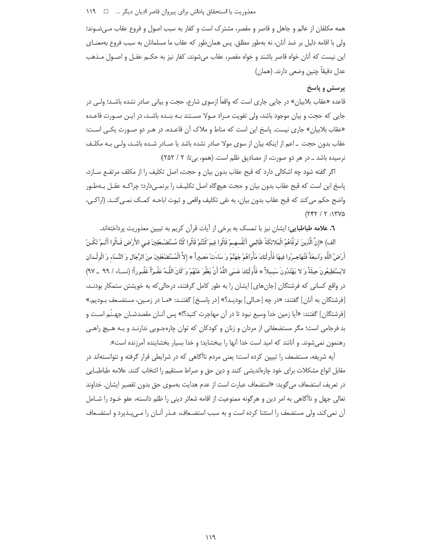## معذوريت يا استحقاق ياداش براي پيروان قاصر اديان ديگر … □ ١١٩

همه مكلفان از عالم و جاهل و قاصر و مقصر، مشترك است و كفار به سبب اصول و فروع عقاب مـي شـوند؛ ولی با اقامه دلیل بر ضد آنان، نه بهطور مطلق. پس همان طور که عقاب ما مسلمانان به سبب فروع بهمعنــای این نیست که آنان خواه قاصر باشند و خواه مقصر، عقاب میشوند، کفار نیز به حکــم عقــل و اصــول مــذهب عدل دقيقاً چنين وضعي دارند. (همان)

#### پرسش و پاسخ

قاعده «عقاب بلابیان» در جایی جاری است که واقعاً ازسوی شارع، حجت و بیانی صادر نشده باشـد؛ ولـی در جایی که حجت و بیان موجود باشد، ولی تفویت مـراد مـولا مسـتند بـه بنـده باشـد، در ایـن صـورت قاعـده «عقاب بلابیان» جاری نیست. پاسخ این است که مناط و ملاک آن قاعـده، در هـر دو صـورت یکـی اسـت: عقاب بدون حجت \_ اعم از اينكه بيان از سوى مولا صادر نشده باشد يا صـادر شـده باشـد، ولـى بـه مكلـف نرسیده باشد ـ در هر دو صورت، از مصادیق ظلم است. (همو، بی تا: ٢ / ٢٥٢)

اگر گفته شود چه اشکالی دارد که قبح عقاب بدون بیان و حجت، اصل تکلیف را از مکلف مرتفـع سـازد، پاسخ این است که قبح عقاب بدون بیان و حجت هیچگاه اصل تکلیـف را برنمـیدارد؛ چراکـه عقـل بـهطـور واضح حكم مي كند كه قبح عقاب بدون بيان، به نفي تكليف واقعي و ثبوت اباحـه كمـك نمـي كنـد. (اراكـي،  $(757/7:1790)$ 

٦. علامه طباطبایی: ایشان نیز با تمسک به برخی از آیات قرآن کریم به تبیین معذوریت پرداختهاند.

الف) «إِنَّ الَّذِينَ تَوَفَّاهُمُ الْمَلائِكَةُ ظَالِمِي أَنْفُسهِـمْ قَالُوا فِيمَ كُنْتُمْ قَالُوا كُنَّا مُسْتَضْـعَفِينَ فِـي الأَرْضِ قَـالُوا أَلَـمْ تَكُـنْ أَرْضُ اللَّهِ وَاسِعَةً فَتُهَاجِـرُوا فِيهَا فَأُولَئِكَ مَأْوَاهُمْ جَهَنَّمُ وَ سَاءَتْ مَصِيراً ۞ إلاَّ الْمُسْتَضْعَفِينَ مِنَ الرِّجَالِ وَ النِّسَاء وَ الْولْـدَانِ لايَسْتَطِيعُونَ حِيلَةً وَ لا يَهْتَدُونَ سَبِيلاً ۞ فَأُولَئِكَ عَسَى اللَّهُ أَنْ يَعْفُوَ عَنْهُمْ وَ كَانَ اللَّه مَفُو ًا غَفُوراً؛ (نساء / ٩٩ \_ ٩٧) در واقع کسانی که فرشتگان [جان های] ایشان را به طور کامل گرفتند، درحالی که به خویشتن ستمکار بودنـد، [فرشتگان به آنان] گفتند: «در چه [حـالي] بوديـد؟» [در پاسـخ] گفتنـد: «مـا در زمـين، مستضـعف بـوديم.» [فرشتگان] گفتند: «آيا زمين خدا وسيع نبود تا در آن مهاجرت كنيد؟!» پس آنــان مقصدشــان جهــنّم اســت و بد فرجامی است؛ مگر مستضعفانی از مردان و زنان و کودکان که توان چارهجـویی ندارنـد و بـه هـیچ راهـی رهنمون نمی شوند. و آنانند که امید است خدا آنها را ببخشاید؛ و خدا بسیار بخشاینده آمرزنده است».

آیه شریفه، مستضعف را تبیین کرده است؛ یعنی مردم ناآگاهی که در شرایطی قرار گرفته و نتوانستهاند در مقابل انواع مشکلات برای خود چارهاندیشی کنند و دین حق و صراط مستقیم را انتخاب کنند. علامه طباطبـایی در تعريف استضعاف مي¢ويد: «استضعاف عبارت است از عدم هدايت بهسوى حق بدون تقصير ايشان. خداوند تعالى جهل و ناآگاهي به امر دين و هرگونه ممنوعيت از اقامه شعائر ديني را ظلم دانسته، عفو خـود را شــامل آن نمی کند، ولی مستضعف را استثنا کرده است و به سبب استضـعاف، عـذر آنـان را مـی.پـذیرد و استضـعاف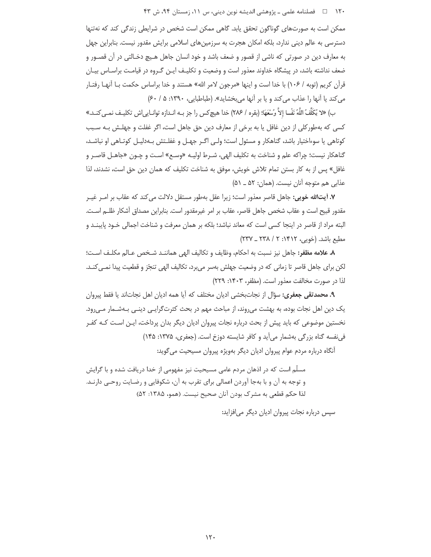۱۲۰ □ فصلنامه علمی ـ یژوهشی اندیشه نوین دینی، س ۱۱، زمستان ۹۴، ش ۴۳

ممکن است به صورتهای گوناگون تحقق یابد. گاهی ممکن است شخص در شرایطی زندگی کند که نهتنها دسترسی به عالم دینی ندارد، بلکه امکان هجرت به سرزمینهای اسلامی برایش مقدور نیست. بنابراین جهل به معارف دین در صورتی که ناشی از قصور و ضعف باشد و خود انسان جاهل هـیچ دخـالتی در آن قصـور و ضعف نداشته باشد، در پیشگاه خداوند معذور است و وضعیت و تکلیـف ایـن گـروه در قیامـت براسـاس بیـان قرأن كريم (توبه / ١٠۶) با خدا است و اينها «مرجون لامر الله» هستند و خدا براساس حكمت بــا أنهــا رفتــار می کند یا آنها را عذاب می کند و یا بر آنها می بخشاید». (طباطبایی، ۱۳۹۰: ۵/ ۶۰)

بِ) «لا يُكَلِّفُ اللَّهُ نَفْسا إِلاَّ وُسْعَهَا؛ (بقره / ٢٨۶) خدا هيچ كس را جز بـه انـدازه توانـايي اش تكليـف نمـي كنـد.» کسی که بهطورکلی از دین غافل یا به برخی از معارف دین حق جاهل است، اگر غفلت و جهلـش بـه سـبب کوتاهی یا سوءاختیار باشد، گناهکار و مسئول است؛ ولـی اگـر جهـل و غفلـتش بـهدلیـل کوتـاهی او نباشـد، گناهکار نيست؛ چراکه علم و شناخت به تکليف الهي، شـرط اوليـه «وسـع» اسـت و چـون «جاهـل قاصـر و غافل» پس از به کار بستن تمام تلاش خویش، موفق به شناخت تکلیف که همان دین حق است، نشدند، لذا عذابي هم متوجه آنان نيست. (همان: ۵۲ ـ ۵۱)

٧. آيتالله خويي: جاهل قاصر معذور است؛ زيرا عقل بهطور مستقل دلالت مي كند كه عقاب بر امـر غيـر مقدور قبيح است و عقاب شخص جاهل قاصر، عقاب بر امر غيرمقدور است. بنابراين مصداق أشكار ظلــم اســت. البته مراد از قاصر در اینجا کسی است که معاند نباشد؛ بلکه بر همان معرفت و شناخت اجمالی خـود پایبنــد و مطيع باشد. (خويي، ١۴١٢: ٢ / ٢٣٨ \_ ٢٣٧)

٨. علامه مظفر: جاهل نيز نسبت به احكام، وظايف و تكاليف الهي هماننـد شـخص عـالم مكلـف اسـت؛ لکن برای جاهل قاصر تا زمانی که در وضعیت جهلش بهسر می,برد، تکالیف الهی تنجّز و قطعیت پیدا نمـی کنـد. لذا در صورت مخالفت معذور است. (مظفر، ۱۴۰۳: ۲۲۹)

**۹. محمدتقی جعفری:** سؤال از نجاتبخشی ادیان مختلف که آیا همه ادیان اهل نجاتاند یا فقط پیروان یک دین اهل نجات بوده، به بهشت میروند، از مباحث مهم در بحث کثرتگرایـی دینـی بـهشـمار مـیرود. نخستین موضوعی که باید پیش از بحث درباره نجات پیروان ادیان دیگر بدان پرداخت، ایـن اسـت کـه کفـر في نفسه گناه بزرگي بهشمار مي آيد و كافر شايسته دوزخ است. (جعفري، ۱۳۷۵: ۱۴۵)

آنگاه درباره مردم عوام پیروان ادیان دیگر بهویژه پیروان مسیحیت میگوید:

مسلّم است که در اذهان مردم عامی مسیحیت نیز مفهومی از خدا دریافت شده و با گرایش و توجه به آن و با بهجا آوردن اعمالي براي تقرب به آن، شكوفايي و رضـايت روحـي دارنــد. لذا حكم قطعي به مشرك بودن آنان صحيح نيست. (همو، ١٣٨۵: ۵٢)

سیس درباره نجات پیروان ادیان دیگر می افزاید: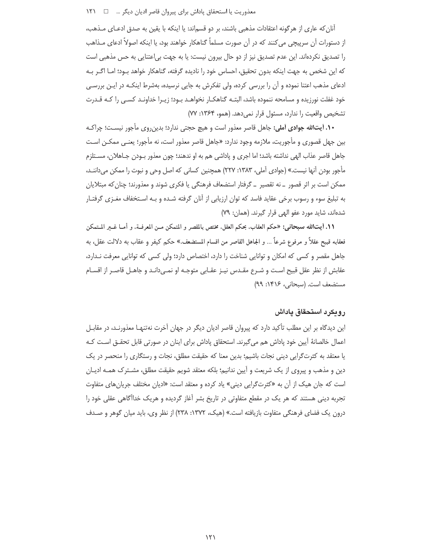#### معذوريت يا استحقاق پاداش براي پيروان قاصر اديان ديگر ... □ ١٢١

آنان که عاری از هرگونه اعتقادات مذهبی باشند، بر دو قسماند: یا اینکه با یقین به صدق ادعـای مـذهب، از دستورات آن سرپیچی می کنند که در آن صورت مسلماً گناهکار خواهند بود، یا اینکه اصولاً ادعای مـذاهب را تصدیق نکردهاند. این عدم تصدیق نیز از دو حال بیرون نیست: یا به جهت بی|عتنایی به حس مذهبی است كه اين شخص به جهت اينكه بدون تحقيق، احساس خود را ناديده گرفته، گناهكار خواهد بـود؛ امـا اگـر بـه ادعای مذهب اعتنا نموده و آن را بررسی کرده، ولی تفکرش به جایی نرسیده، بهشرط اینکـه در ایـن بررسـی خود غفلت نورزیده و مسامحه ننموده باشد، البتـه گناهکـار نخواهـد بـود؛ زیـرا خداونـد کسـی را کـه قـدرت تشخیص واقعیت را ندارد، مسئول قرار نمی دهد. (همو، ۱۳۶۴: ۷۷)

**۱۰. آیتالله جوادی آملی:** جاهل قاصر معذور است و هیچ حجتی ندارد؛ بدینروی مأجور نیسـت؛ چراکـه بین جهل قصوری و مأجوریت، ملازمه وجود ندارد: «جاهل قاصر معذور است، نه مأجور؛ یعنـی ممکـن اسـت جاهل قاصر عذاب الهي نداشته باشد؛ اما اجرى و پاداشي هم به او ندهند؛ چون معذور بـودن جـاهلان، مسـتلزم مأجور بودن آنها نیست.» (جوادی آملی، ۱۳۸۳: ۲۲۷) همچنین کسانی که اصل وحی و نبوت را ممکن میداننـد، ممکن است بر اثر قصور \_ نه تقصیر \_ گرفتار استضعاف فرهنگی یا فکری شوند و معذورند؛ چنان که مبتلایان به تبلیغ سوء و رسوب برخی عقاید فاسد که توان ارزیابی از آنان گرفته شـده و بـه اسـتخفاف مغـزی گرفتـار شدهاند، شاید مورد عفو الهی قرار گیرند. (همان: ۷۹)

11. أيت|الله سبحاني: «حكم العقاب، بحكم العقل، مختص بالمقصر و المتمكن مـن المعرفـة، و أمــا غــير المــتمكن فعقابه قبيح عقلاً و مرفوع شرعاً … و الجاهل القاصر من اقسام المستضعف.» حكم كيفر و عقاب به دلالت عقل، به جاهل مقصر و کسی که امکان و توانایی شناخت را دارد، اختصاص دارد؛ ولی کسی که توانایی معرفت نـدارد، عقابش از نظر عقل قبیح است و شـرع مقـدس نیـز عقـابی متوجـه او نمـیcانـد و جاهـل قاصـر از اقسـام مستضعف است. (سبحانی، ۱۴۱۶: ۹۹)

## رويكرد استحقاق ياداش

این دیدگاه بر این مطلب تأکید دارد که پیروان قاصر ادیان دیگر در جهان آخرت نهتنهـا معذورنـد، در مقابـل اعمال خالصانهٔ آیین خود پاداش هم میگیرند. استحقاق پاداش برای اینان در صورتی قابل تحقـق اسـت کـه یا معتقد به کثرتگرایی دینی نجات باشیم؛ بدین معنا که حقیقت مطلق، نجات و رستگاری را منحصر در یک دین و مذهب و پیروی از یک شریعت و اَپین ندانیم؛ بلکه معتقد شویم حقیقت مطلق، مشـترک همـه ادیـان است که جان هیک از آن به «کثرتگرایی دینی» یاد کرده و معتقد است: «ادیان مختلف جریانهای متفاوت تجربه دینی هستند که هر یک در مقطع متفاوتی در تاریخ بشر آغاز گردیده و هریک خداآگاهی عقلی خود را درون یک فضای فرهنگی متفاوت بازیافته است.» (هیک، ۱۳۷۲: ۲۳۸) از نظر وی، باید میان گوهر و صـدف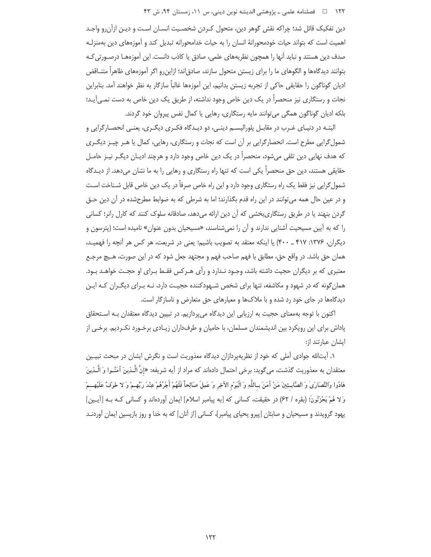#### ۱۲۲ = □ فصلنامه علمی ــ یژوهشی اندیشه نوین دینی، س ۱۱، زمستان ۹۴، ش ۴۳

دین تفکیک قائل شد؛ چراکه نقش گوهر دین، متحول کـردن شخصـیت انسـان اسـت و دیـن ازآن٫و واجـد اهمیت است که بتواند حیات خودمحورانهٔ انسان را به حیات خدامحورانه تبدیل کند و آموزههای دین بهمنزلـه صدف دین هستند و نباید آنها را همچون نظریههای علمی، صادق یا کاذب دانست. این آموزههـا درصـورتی کـه بتوانند ديدگاهها و الگوهاي ما را براي زيستن متحول سازند، صادق|ند؛ ازاين٫و اگر آموزههاي ظاهراً متنــاقض ادیان گوناگون را حقایقی حاکی از تجربه زیستن بدانیم، این آموزهها غالباً سازگار به نظر خواهند آمد. بنابراین نجات و رستگاری نیز منحصراً در یک دین خاص وجود نداشته، از طریق یک دین خاص به دست نمی آیـد؛ بلکه ادیان گوناگون همگی می توانند مایه رستگاری، رهایی یا کمال نفس پیروان خود گردند.

البتـه در دنيـاي غـرب در مقابـل پلوراليسـم دينـي، دو ديـدگاه فكـرى ديگـرى، يعنـي انحصـارگرايي و شمول گرایی مطرح است. انحصار گرایی بر آن است که نجات و رستگاری، رهایی، کمال یا هـر چیـز دیگـری که هدف نهایی دین تلقی میشود، منحصراً در یک دین خاص وجود دارد و هرچند ادیـان دیگـر نیـز حامـل حقایقی هستند، دین حق منحصراً یکی است که تنها راه رستگاری و رهایی را به ما نشان می دهد. از دیـدگاه شمول گرایی نیز فقط یک راه رستگاری وجود دارد و این راه خاص صرفاً در یک دین خاص قابل شـناخت اسـت و در عین حال همه می توانند در این راه قدم بگذارند؛ اما به شرطی که به ضوابط مطرحشده در آن دین حـق گردن بنهند یا در طریق رستگاری بخشی که آن دین ارائه می دهد، صادقانه سلوک کنند که کارل رانر؛ کسانی را که به آیین مسیحیت آشنایی ندارند و آن را نمی شناسند، «مسیحیان بدون عنوان» نامیده است؛ (پترسون و دیگران، ۱۳۷۶: ۴۱۷ \_ ۴۰۰) یا اینکه معتقد به تصویب باشیم؛ یعنی در شریعت، هر کس هر آنچه را فهمیـد، همان حق باشد. در واقع حق، مطابق با فهم صاحب فهم و مجتهد جعل شود كه در اين صورت، هـيچ مرجـع معتبری که بر دیگران حجیت داشته باشد، وجـود نـدارد و رأی هـرکس فقـط بـرای او حجـت خواهـد بـود. همان گونه که در شهود و مکاشفه، تنها برای شخص شـهودکننده حجیـت دارد، نـه بـرای دیگـران کـه ایـن دیدگاهها در جای خود رد شده و با ملاکها و معیارهای حق متعارض و ناسازگار است.

اکنون با توجه بهمعنای حجیت به ارزیابی این دیدگاه میپردازیم. در تبیین دیدگاه معتقدان بـه اسـتحقاق پاداش برای این رویکرد بین اندیشمندان مسلمان، با حامیان و طرفداران زیـادی برخـورد نکـردیم. برخـی از ایشان عبارتند از:

۱. آیتالله جوادی آملی که خود از نظریهپردازان دیدگاه معذوریت است و نگرش ایشان در مبحث تبیـین معتقدان به معذوريت گذشت، مي گويد: برخي احتمال دادهاند كه مراد از آيه شريفه: «إنَّ الَّـٰذِينَ آمَنُـوا وَ الَّـذِينَ هَادُوا وَالنَّصَارَىٰ وَ الصَّابِـئِينَ مَنْ آمَنَ بِـاللَّهِ وَ الْيَوْمِ الآخِرِ وَ عَمِلَ صَالِحاً فَلَهُمْ أَجْرُهُمْ عِنْدَ رَبِّهِـمْ وَ لا خَوْفُ عَلَيْهِــمْ وَلا هُمْ يَحْزَنُونَ؛ (بقره / ۶۲) در حقيقت، كساني كه [به پيامبر اسلام] ايمان أوردهاند و كساني كـه بـه [أيـين] یهود گرویدند و مسیحیان و صابئان [پیرو یحیای پیامبر]، کسانی [از آنان] که به خدا و روز بازپسین ایمان آوردنـد

 $157$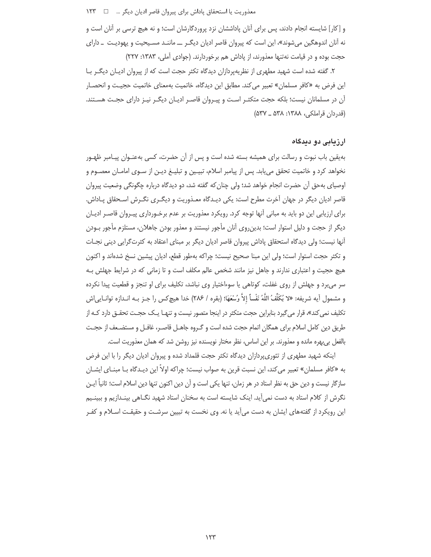و [کار] شایسته انجام دادند، پس برای آنان پاداششان نزد پروردگارشان است؛ و نه هیچ ترسی بر آنان است و نه آنان اندوهگین میشوند»، این است که پیروان قاصر ادیان دیگـر ـــ ماننـد مسـیحیت و یهودیـت ــ دارای حجت بوده و در قیامت نهتنها معذورند، از پاداش هم برخوردارند. (جوادی آملی، ۱۳۸۳: ۲۲۷)

۲. گفته شده است شهید مطهری از نظریهپردازان دیدگاه تکثر حجت است که از پیروان ادیـان دیگـر بـا این فرض به «کافر مسلمان» تعبیر می کند. مطابق این دیدگاه، خاتمیت بهمعنای خاتمیت حجیـت و انحصـار آن در مسلمانان نیست؛ بلکه حجت متکثـر اسـت و پیـروان قاصـر ادیـان دیگـر نیـز دارای حجـت هسـتند. (قدردان قراملكي، ١٣٨٨: ٥٣٨ ـ ٥٣٧)

#### ارزیابی دو دیدگاه

بهیقین باب نبوت و رسالت برای همیشه بسته شده است و پس از آن حضرت، کسی بهعنـوان پیـامبر ظهـور نخواهد کرد و خاتمیت تحقق می یابد. پس از پیامبر اسلام، تبیـین و تبلیـغ دیـن از سـوی امامـان معصـوم و اوصیای بهحق آن حضرت انجام خواهد شد؛ ولی چنان که گفته شد، دو دیدگاه درباره چگونگی وضعیت پیروان قاصر ادیان دیگر در جهان آخرت مطرح است: یکی دیـدگاه معـذوریت و دیگـری نگـرش اسـحقاق پـاداش. برای ارزیابی این دو باید به مبانی آنها توجه کرد. رویکرد معذوریت بر عدم برخـورداری پیـروان قاصـر ادیـان دیگر از حجت و دلیل استوار است؛ بدین روی آنان مأجور نیستند و معذور بودن جاهلان، مستلزم مأجور بـودن آنها نیست؛ ولی دیدگاه استحقاق پاداش پیروان قاصر ادیان دیگر بر مبنای اعتقاد به کثرتگرایی دینی نجـات و تكثر حجت استوار است؛ ولى اين مبنا صحيح نيست؛ چراكه بهطور قطع، اديان پيشين نسخ شدهاند و اكنون هیچ حجیت و اعتباری ندارند و جاهل نیز مانند شخص عالم مکلف است و تا زمانی که در شرایط جهلش بـه سر می برد و جهلش از روی غفلت، کوتاهی یا سوءاختیار وی نباشد، تکلیف برای او تنجز و قطعیت پیدا نکرده و مشمول آيه شريفه: «لا يُكلِّفُ اللَّهُ نَفْساً إلاَّ وُسْعَهَا؛ (بقره / ٢٨۶) خدا هيچ كس را جـز بـه انـدازه توانـايي|ش تکلیف نمی کند»، قرار می گیرد بنابراین حجت متکثر در اینجا متصور نیست و تنهـا یـک حجـت تحقـق دارد کـه از طريق دين كامل اسلام براي همگان اتمام حجت شده است و گـروه جاهـل قاصـر، غافـل و مستضـعف از حجـت بالفعل بي بهره مانده و معذورند. بر اين اساس، نظر مختار نويسنده نيز روشن شد كه همان معذوريت است.

اینکه شهید مطهری از تئوری پردازان دیدگاه تکثر حجت قلمداد شده و پیروان ادیان دیگر را با این فرض به «كافر مسلمان» تعبير مي كند، اين نسبت قرين به صواب نيست؛ چراكه اولاً اين ديـدگاه بــا مبنــاي ايشــان سازگار نیست و دین حق به نظر استاد در هر زمان، تنها یکی است و آن دین اکنون تنها دین اسلام است؛ ثانیاً ایـن نگرش از کلام استاد به دست نمیآید. اینک شایسته است به سخنان استاد شهید نگـاهی بینـدازیم و ببینـیم این رویکرد از گفتههای ایشان به دست می]ید یا نه. وی نخست به تبیین سرشـت و حقیقـت اسـلام و کفـر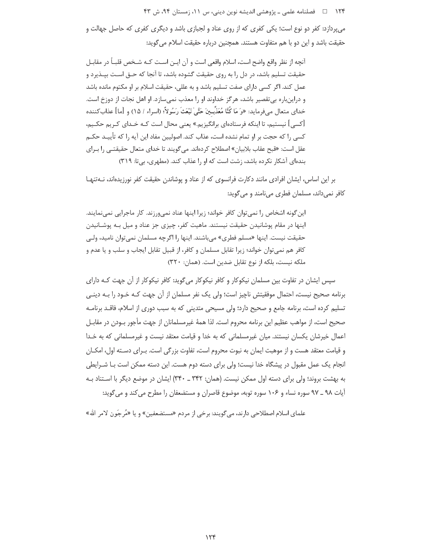۱۲۴ فصلنامه علمی ـ یژوهشی اندیشه نوین دینی، س ۱۱، زمستان ۹۴، ش ۴۳

می پردازد: کفر دو نوع است؛ یکی کفری که از روی عناد و لجبازی باشد و دیگری کفری که حاصل جهالت و حقیقت باشد و این دو با هم متفاوت هستند. همچنین درباره حقیقت اسلام می گوید:

آنچه از نظر واقع واضح است، اسلام واقعی است و آن ایـن اسـت کـه شـخص قلبـاً در مقابـل حقیقت تسلیم باشد، در دل را به روی حقیقت گشوده باشد، تا آنجا که حـق اسـت بپــذیرد و عمل کند. اگر کسی دارای صفت تسلیم باشد و به عللی، حقیقت اسلام بر او مکتوم مانده باشد و دراینباره بی تقصیر باشد، هر گز خداوند او را معذب نمی سازد. او اهل نجات از دوزخ است. خداي متعال مي فرمايد: «وَ مَا كُنَّا مُعَذِّبِينَ حَتَّىٰ نَبْعَثَ رَسُولاً؛ (اسراء / ١۵) و [ما] عذاب كننده [کسی] نیستیم، تا اینکه فرستادهای برانگیزیم.» یعنی محال است کـه خـدای کـریم حکـیم، کسی را که حجت بر او تمام نشده است، عذاب کند. اصولیین مفاد این آیه را که تأییـد حکــم عقل است: «قبح عقاب بلابيان» اصطلاح كردهاند. مي گويند تا خداي متعال حقيقتـي را بـراي بندهای آشکار نکرده باشد، زشت است که او را عذاب کند. (مطهری، بی تا: ٣١٩)

بر این اساس، ایشان افرادی مانند دکارت فرانسوی که از عناد و پوشاندن حقیقت کفر نورزیدهاند، نـهتنهـا كافر نمىداند، مسلمان فطرى مىنامند و مى گويد:

این گونه اشخاص را نمی توان کافر خواند؛ زیرا اینها عناد نمی ورزند. کار ماجرایی نمی نمایند. اینها در مقام پوشانیدن حقیقت نیستند. ماهیت کفر، چیزی جز عناد و میل بـه پوشـانیدن حقيقت نيست. اينها «مسلم فطري» مي باشند. اينها را اگرچه مسلمان نمي توان ناميد، ولـي كافر هم نمي توان خواند؛ زيرا تقابل مسلمان و كافر، از قبيل تقابل ايجاب و سلب و يا عدم و ملكه نيست، بلكه از نوع تقابل ضدين است. (همان: ٣٢٠)

سپس ایشان در تفاوت بین مسلمان نیکوکار و کافر نیکوکار میگوید: کافر نیکوکار از آن جهت کـه دارای برنامه صحیح نیست، احتمال موفقیتش ناچیز است؛ ولی یک نفر مسلمان از آن جهت کـه خـود را بـه دینــ ، تسلیم کرده است، برنامه جامع و صحیح دارد؛ ولی مسیحی متدینی که به سبب دوری از اسلام، فاقـد برنامـه صحيح است، از مواهب عظيم اين برنامه محروم است. لذا همهٔ غيرمسلمانان از جهت مأجور بـودن در مقابـل اعمال خیرشان یکسان نیستند. میان غیرمسلمانی که به خدا و قیامت معتقد نیست و غیرمسلمانی که به خـدا و قیامت معتقد هست و از موهبت ایمان به نبوت محروم است، تفاوت بزرگی است. بـرای دسـته اول، امکـان انجام یک عمل مقبول در پیشگاه خدا نیست؛ ولی برای دسته دوم هست. این دسته ممکن است بـا شـرایطی به بهشت بروند؛ ولی برای دسته اول ممکن نیست. (همان: ۳۴۲ \_ ۳۴۰) ایشان در موضع دیگر با استناد بـه آیات ۹۸ ـ ۹۷ سوره نساء و ۱۰۶ سوره توبه، موضوع قاصران و مستضعفان را مطرح می کند و می گوید:

علماي اسلام اصطلاحي دارند، مي گويند: برخي از مردم «مستضعفين» و يا «مُرجَون لامر الله»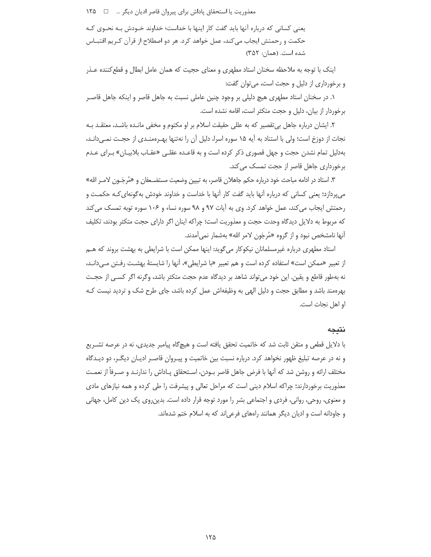معذوريت يا استحقاق پاداش براي پيروان قاصر اديان ديگر ... □ 1۲۵

یعنی کسانی که درباره آنها باید گفت کار اینها با خداست؛ خداوند خــودش بــه نحــوی کــه حکمت و رحمتش ایجاب می کند، عمل خواهد کرد. هر دو اصطلاح از قرآن کـریم اقتبــاس شده است. (همان: ٣۵٢)

اینک با توجه به ملاحظه سخنان استاد مطهری و معنای حجیت که همان عامل ابطال و قطع کننده عـذر و برخورداری از دلیل و حجت است، می توان گفت:

۱. در سخنان استاد مطهری هیچ دلیلی بر وجود چنین عاملی نسبت به جاهل قاصر و اینکه جاهل قاصـر برخوردار از بیان، دلیل و حجت متکثر است، اقامه نشده است.

۲. ایشان درباره جاهل بی تقصیر که به عللی حقیقت اسلام بر او مکتوم و مخفی مانـده باشـد، معتقـد بـه نجات از دوزخ است؛ ولی با استناد به آیه ۱۵ سوره اسرا، دلیل آن را نهتنها بهـرهمنـدی از حجـت نمـیدانـد، بهدلیل تمام نشدن حجت و جهل قصوری ذکر کرده است و به قاعـده عقلـی «عقـاب بلابیـان» بـرای عـدم برخورداری جاهل قاصر از حجت تمسک می کند.

٣. استاد در ادامه مباحث خود درباره حكم جاهلان قاصر، به تبيين وضعيت مستضـعفان و «مُرجَــون لامــر الله» می یردازد؛ یعنی کسانی که درباره آنها باید گفت کار آنها با خداست و خداوند خودش بهگونهای کـه حکمـت و رحمتش ایجاب می کند، عمل خواهد کرد. وی به آیات ۹۷ و ۹۸ سوره نساء و ۱۰۶ سوره توبه تمسک می کند که مربوط به دلایل دیدگاه وحدت حجت و معذوریت است؛ چراکه اینان اگر دارای حجت متکثر بودند، تکلیف آنها نامشخص نبود و از گروه «مُرجَون لامر الله» بهشمار نمي آمدند.

استاد مطهری درباره غیرمسلمانان نیکوکار میگوید: اینها ممکن است با شرایطی به بهشت بروند که هــم از تعبير «ممكن است» استفاده كرده است و هم تعبير «با شرايطي»، آنها را شايستهٔ بهشـت رفـتن مـيcانـد، نه بهطور قاطع و يقين. اين خود مي تواند شاهد بر ديدگاه عدم حجت متكثر باشد، وگرنه اگر كسبي از حجـت بهرهمند باشد و مطابق حجت و دلیل الهی به وظیفهاش عمل کرده باشد، جای طرح شک و تردید نیست کـه او اهل نجات است.

## نتبجه

با دلایل قطعی و متقن ثابت شد که خاتمیت تحقق یافته است و هیچگاه پیامبر جدیدی، نه در عرصه تشـریع و نه در عرصه تبلیغ ظهور نخواهد کرد. درباره نسبت بین خاتمیت و پیـروان قاصـر ادیـان دیگـر، دو دیـدگاه مختلف ارائه و روشن شد که اّنها با فرض جاهل قاصر بـودن، اسـتحقاق پـاداش را ندارنـد و صـرفاً از نعمـت معذوریت برخوردارند؛ چراکه اسلام دینی است که مراحل تعالی و پیشرفت را طی کرده و همه نیازهای مادی و معنوی، روحی، روانی، فردی و اجتماعی بشر را مورد توجه قرار داده است. بدین٫وی یک دین کامل، جهانی و جاودانه است و ادیان دیگر همانند راههای فرعیاند که به اسلام ختم شدهاند.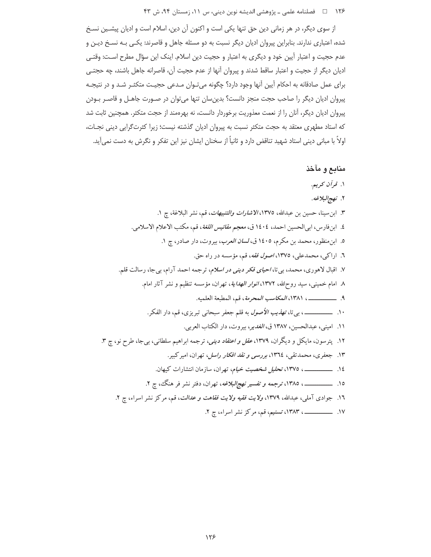۱۲۶ □ فصلنامه علمي ـ پژوهشي انديشه نوين ديني، س ١١، زمستان ٩۴، ش ۴۳

از سوی دیگر، در هر زمانی دین حق تنها یکی است و اکنون آن دین، اسلام است و ادیان پیشـین نسـخ شده، اعتباری ندارند. بنابراین پیروان ادیان دیگر نسبت به دو مسئله جاهل و قاصرند: یکی بـه نسـخ دیـن و عدم حجيت و اعتبار آيين خود و ديگري به اعتبار و حجيت دين اسلام. اينک اين سؤال مطرح اسـت: وقتـي ادیان دیگر از حجیت و اعتبار ساقط شدند و پیروان آنها از عدم حجیت آن، قاصرانه جاهل باشند، چه حجتبی برای عمل صادقانه به احکام آیین آنها وجود دارد؟ چگونه میتوان مـدعی حجیـت متکثـر شـد و در نتیجـه پیروان ادیان دیگر را صاحب حجت منجز دانست؟ بدینسان تنها میتوان در صـورت جاهـل و قاصـر بـودن پیروان ادیان دیگر، آنان را از نعمت معذوریت برخوردار دانست، نه بهرهمند از حجت متکثر. همچنین ثابت شد كه استاد مطهري معتقد به حجت متكثر نسبت به پيروان اديان گذشته نيست؛ زيرا كثرتگرايي ديني نجـات، اولاً با مبانی دینی استاد شهید تناقض دارد و ثانیاً از سخنان ایشان نیز این تفکر و نگرش به دست نمیآید.

# منابع و مآخذ